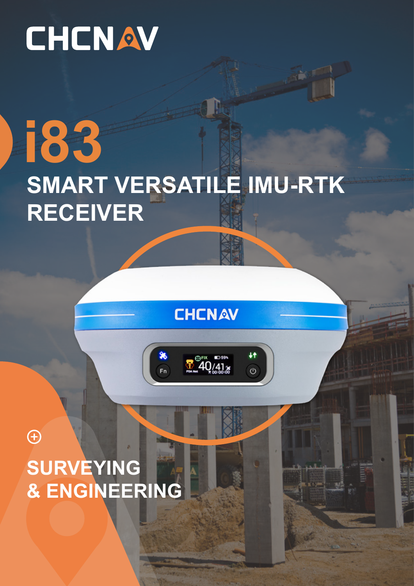# CHCNAV

## **i83** SMART VERSATILE IMU-RTK **RECEIVER**

**CHCNAV** 

 $\mathbb{G}$ <sup>FIX</sup> ED59

÷t

 $\overline{O}$ 

X

 $\overline{F}$ 

 $\bigoplus$ SURVEYING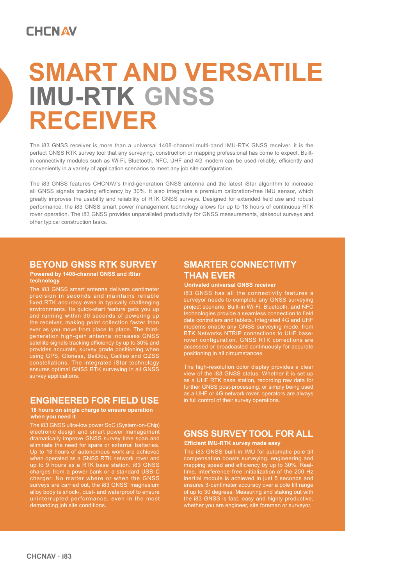### **CHCNAV**

## **SMART AND VERSATILE RECEIVER IMU-RTK GNSS**

The i83 GNSS receiver is more than a universal 1408-channel multi-band IMU-RTK GNSS receiver, it is the perfect GNSS RTK survey tool that any surveying, construction or mapping professional has come to expect. Builtin connectivity modules such as Wi-Fi, Bluetooth, NFC, UHF and 4G modem can be used reliably, efficiently and conveniently in a variety of application scenarios to meet any job site configuration.

The i83 GNSS features CHCNAV's third-generation GNSS antenna and the latest iStar algorithm to increase all GNSS signals tracking efficiency by 30%. It also integrates a premium calibration-free IMU sensor, which greatly improves the usability and reliability of RTK GNSS surveys. Designed for extended field use and robust performance, the i83 GNSS smart power management technology allows for up to 18 hours of continuous RTK rover operation. The i83 GNSS provides unparalleled productivity for GNSS measurements, stakeout surveys and other typical construction tasks.

#### **BEYOND GNSS RTK SURVEY**

#### **Powered by 1408-channel GNSS and iStar technology**

The i83 GNSS smart antenna delivers centimeter precision in seconds and maintains reliable fixed RTK accuracy even in typically challenging environments. Its quick-start feature gets you up and running within 30 seconds of powering up the receiver, making point collection faster than ever as you move from place to place. The thirdgeneration high-gain antenna increases GNSS satellite signals tracking efficiency by up to 30% and provides accurate, survey grade positioning when using GPS, Glonass, BeiDou, Galileo and QZSS constellations. The integrated iStar technology ensures optimal GNSS RTK surveying in all GNSS survey applications.

#### **ENGINEERED FOR FIELD USE**

#### **18 hours on single charge to ensure operation when you need it**

The i83 GNSS ultra-low power SoC (System-on-Chip) electronic design and smart power management dramatically improve GNSS survey time span and eliminate the need for spare or external batteries. Up to 18 hours of autonomous work are achieved when operated as a GNSS RTK network rover and up to 9 hours as a RTK base station. i83 GNSS charges from a power bank or a standard USB-C charger. No matter where or when the GNSS surveys are carried out, the i83 GNSS' magnesium alloy body is shock-, dust- and waterproof to ensure uninterrupted performance, even in the most demanding job site conditions.

#### **SMARTER CONNECTIVITY THAN EVER**

#### **Unrivaled universal GNSS receiver**

i83 GNSS has all the connectivity features a surveyor needs to complete any GNSS surveying project scenario. Built-in Wi-Fi, Bluetooth, and NFC technologies provide a seamless connection to field data controllers and tablets. Integrated 4G and UHF modems enable any GNSS surveying mode, from RTK Networks NTRIP connections to UHF baserover configuration. GNSS RTK corrections are accessed or broadcasted continuously for accurate positioning in all circumstances.

view of the i83 GNSS status. Whether it is set up as a UHF RTK base station, recording raw data for further GNSS post-processing, or simply being used as a UHF or 4G network rover, operators are always in full control of their survey operations.

#### **GNSS SURVEY TOOL FOR ALL Efficient IMU-RTK survey made easy**

The i83 GNSS built-in IMU for automatic pole tilt compensation boosts surveying, engineering and mapping speed and efficiency by up to 30%. Realtime, interference-free initialization of the 200 Hz inertial module is achieved in just 5 seconds and ensures 3-centimeter accuracy over a pole tilt range of up to 30 degrees. Measuring and staking out with the i83 GNSS is fast, easy and highly productive, whether you are engineer, site foreman or surveyor.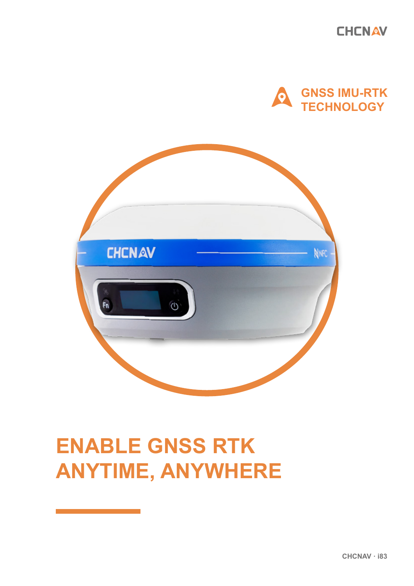**CHCNAV** 





### **ENABLE GNSS RTK ANYTIME, ANYWHERE**

CHCNAV · i83